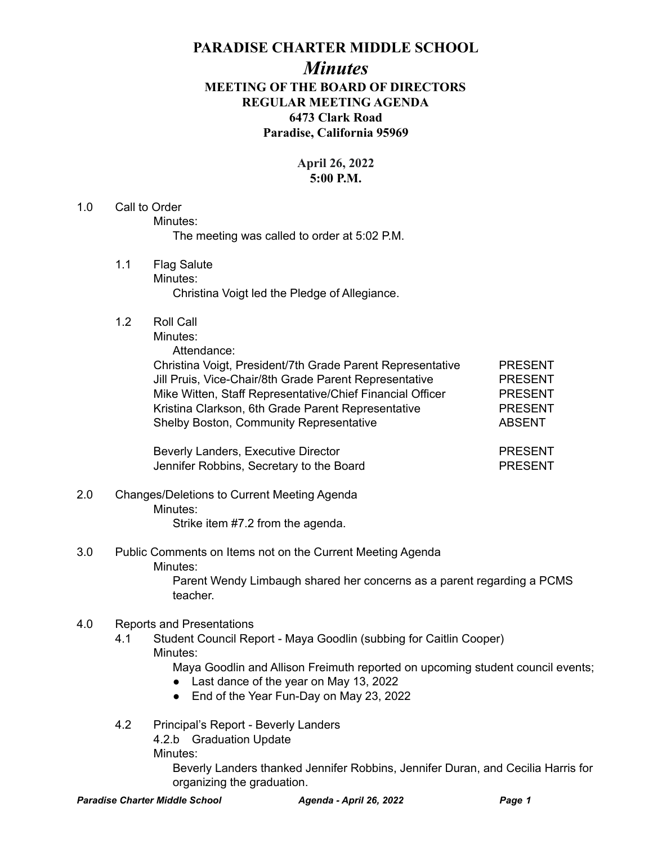## **PARADISE CHARTER MIDDLE SCHOOL**

# *Minutes* **MEETING OF THE BOARD OF DIRECTORS REGULAR MEETING AGENDA 6473 Clark Road Paradise, California 95969**

### **April 26, 2022 5:00 P.M.**

#### 1.0 Call to Order Minutes: The meeting was called to order at 5:02 P.M.

- 1.1 Flag Salute Minutes: Christina Voigt led the Pledge of Allegiance.
- 1.2 Roll Call

Minutes:

Attendance:

Christina Voigt, President/7th Grade Parent Representative PRESENT Jill Pruis, Vice-Chair/8th Grade Parent Representative PRESENT Mike Witten, Staff Representative/Chief Financial Officer PRESENT Kristina Clarkson, 6th Grade Parent Representative PRESENT Shelby Boston, Community Representative **ABSENT** 

Beverly Landers, Executive Director **PRESENT** Jennifer Robbins, Secretary to the Board **PRESENT** 

2.0 Changes/Deletions to Current Meeting Agenda Minutes: Strike item #7.2 from the agenda.

3.0 Public Comments on Items not on the Current Meeting Agenda Minutes:

Parent Wendy Limbaugh shared her concerns as a parent regarding a PCMS teacher.

### 4.0 Reports and Presentations

4.1 Student Council Report - Maya Goodlin (subbing for Caitlin Cooper) Minutes:

Maya Goodlin and Allison Freimuth reported on upcoming student council events;

- Last dance of the year on May 13, 2022
- End of the Year Fun-Day on May 23, 2022
- 4.2 Principal's Report Beverly Landers
	- 4.2.b Graduation Update

Minutes:

Beverly Landers thanked Jennifer Robbins, Jennifer Duran, and Cecilia Harris for organizing the graduation.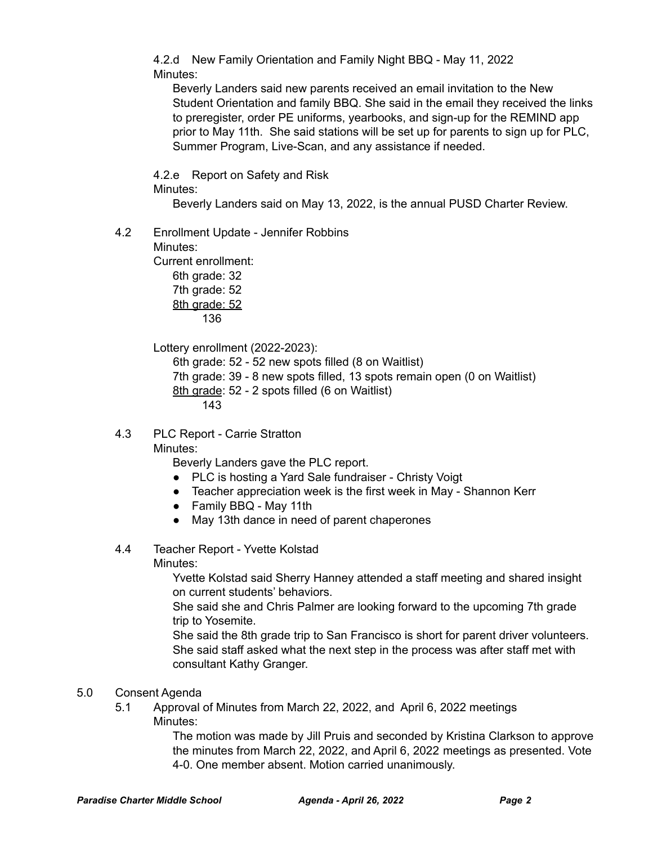4.2.d New Family Orientation and Family Night BBQ - May 11, 2022 Minutes:

Beverly Landers said new parents received an email invitation to the New Student Orientation and family BBQ. She said in the email they received the links to preregister, order PE uniforms, yearbooks, and sign-up for the REMIND app prior to May 11th. She said stations will be set up for parents to sign up for PLC, Summer Program, Live-Scan, and any assistance if needed.

4.2.e Report on Safety and Risk Minutes:

Beverly Landers said on May 13, 2022, is the annual PUSD Charter Review.

4.2 Enrollment Update - Jennifer Robbins

Minutes:

Current enrollment: 6th grade: 32 7th grade: 52 8th grade: 52 136

Lottery enrollment (2022-2023):

6th grade: 52 - 52 new spots filled (8 on Waitlist) 7th grade: 39 - 8 new spots filled, 13 spots remain open (0 on Waitlist) 8th grade: 52 - 2 spots filled (6 on Waitlist) 143

4.3 PLC Report - Carrie Stratton

Minutes:

Beverly Landers gave the PLC report.

- PLC is hosting a Yard Sale fundraiser Christy Voigt
- Teacher appreciation week is the first week in May Shannon Kerr
- Family BBQ May 11th
- May 13th dance in need of parent chaperones
- 4.4 Teacher Report Yvette Kolstad

Minutes:

Yvette Kolstad said Sherry Hanney attended a staff meeting and shared insight on current students' behaviors.

She said she and Chris Palmer are looking forward to the upcoming 7th grade trip to Yosemite.

She said the 8th grade trip to San Francisco is short for parent driver volunteers. She said staff asked what the next step in the process was after staff met with consultant Kathy Granger.

- 5.0 Consent Agenda
	- 5.1 Approval of Minutes from March 22, 2022, and April 6, 2022 meetings Minutes:

The motion was made by Jill Pruis and seconded by Kristina Clarkson to approve the minutes from March 22, 2022, and April 6, 2022 meetings as presented. Vote 4-0. One member absent. Motion carried unanimously.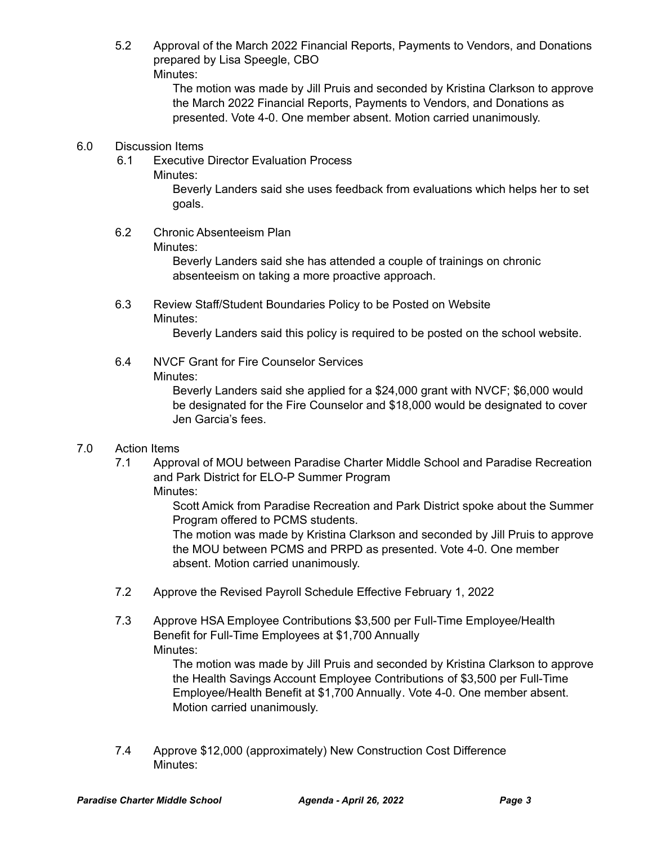5.2 Approval of the March 2022 Financial Reports, Payments to Vendors, and Donations prepared by Lisa Speegle, CBO Minutes:

> The motion was made by Jill Pruis and seconded by Kristina Clarkson to approve the March 2022 Financial Reports, Payments to Vendors, and Donations as presented. Vote 4-0. One member absent. Motion carried unanimously.

### 6.0 Discussion Items

- 6.1 Executive Director Evaluation Process
	- Minutes:

Beverly Landers said she uses feedback from evaluations which helps her to set goals.

6.2 Chronic Absenteeism Plan

### Minutes:

Beverly Landers said she has attended a couple of trainings on chronic absenteeism on taking a more proactive approach.

6.3 Review Staff/Student Boundaries Policy to be Posted on Website Minutes:

Beverly Landers said this policy is required to be posted on the school website.

### 6.4 NVCF Grant for Fire Counselor Services Minutes:

Beverly Landers said she applied for a \$24,000 grant with NVCF; \$6,000 would be designated for the Fire Counselor and \$18,000 would be designated to cover Jen Garcia's fees.

### 7.0 Action Items

7.1 Approval of MOU between Paradise Charter Middle School and Paradise Recreation and Park District for ELO-P Summer Program Minutes:

> Scott Amick from Paradise Recreation and Park District spoke about the Summer Program offered to PCMS students.

> The motion was made by Kristina Clarkson and seconded by Jill Pruis to approve the MOU between PCMS and PRPD as presented. Vote 4-0. One member absent. Motion carried unanimously.

- 7.2 Approve the Revised Payroll Schedule Effective February 1, 2022
- 7.3 Approve HSA Employee Contributions \$3,500 per Full-Time Employee/Health Benefit for Full-Time Employees at \$1,700 Annually Minutes:

The motion was made by Jill Pruis and seconded by Kristina Clarkson to approve the Health Savings Account Employee Contributions of \$3,500 per Full-Time Employee/Health Benefit at \$1,700 Annually. Vote 4-0. One member absent. Motion carried unanimously.

7.4 Approve \$12,000 (approximately) New Construction Cost Difference Minutes: